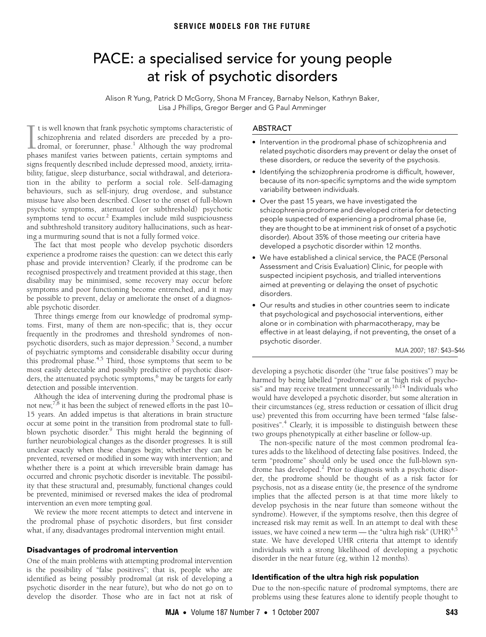# <span id="page-0-0"></span>PACE: a specialised service for young people at risk of psychotic disorders

Alison R Yung, Patrick D McGorry, Shona M Francey, Barnaby Nelson, Kathryn Baker, Lisa J Phillips, Gregor Berger and G Paul Amminger

In the ability to perform a social fole behaviours, such as self-injury, [dr](#page-0-0)u[g o](#page-3-0)verdose, and substance misuse have also been described. Closer to the onset of full-blown psychotic symptoms, attenuated (or subthreshold) psychotic symptoms tend to occur.<sup>2</sup> Examples include mild suspiciousness t is well known that frank psychotic symptoms characteristic of schizophrenia and related disorders are preceded by a pro-dromal, or forerunner, phase.<sup>[1](#page-2-0)</sup> Although the way prodromal I t is well known that frank psychotic symptoms characteristic of schizophrenia and related disorders are preceded by a prodromal, or forerunner, phase.<sup>1</sup> Although the way prodromal phases manifest varies between patients signs frequently described include depressed mood, anxiety, irritability, fatigue, sleep disturbance, social withdrawal, and deterioration in the ability to perform a social role. Self-damaging and subthreshold transitory auditory hallucinations, such as hearing a murmuring sound that is not a fully formed voice.

The fact that most people who develop psychotic disorders experience a prodrome raises the question: can we detect this early phase and provide intervention? Clearly, if the prodrome can be recognised prospectively and treatment provided at this stage, then disability may be minimised, some recovery may occur before symptoms and poor functioning become entrenched, and it may be possible to prevent, delay or ameliorate the onset of a diagnosable psychotic disorder.

Three things emerge from our knowledge of prodromal symptoms. First, many of them are non-specific; that is, they occur frequently in the prodromes and threshold syndromes of non-psychotic disorders, such as major depression.<sup>[3](#page-2-2)</sup> Second, a number of psychiatric symptoms and considerable disability occur during this prodromal phase.<sup>[4](#page-2-3),5</sup> Third, those symptoms that seem to be most easily detectable and possibly predictive of psychotic disor-ders, the attenuated psychotic symptoms,<sup>[6](#page-2-5)</sup> may be targets for early detection and possible intervention.

Although the idea of intervening during the prodromal phase is not new,<sup>[7,](#page-2-6)[8](#page-2-7)</sup> it has been the subject of renewed efforts in the past  $10-$ 15 years. An added impetus is that alterations in brain structure occur at some point in the transition from prodromal state to fullblown psychotic disorder.<sup>9</sup> This might herald the beginning of further neurobiological changes as the disorder progresses. It is still unclear exactly when these changes begin; whether they can be prevented, reversed or modified in some way with intervention; and whether there is a point at which irreversible brain damage has occurred and chronic psychotic disorder is inevitable. The possibility that these structural and, presumably, functional changes could be prevented, minimised or reversed makes the idea of prodromal intervention an even more tempting goal.

We review the more recent attempts to detect and intervene in the prodromal phase of psychotic disorders, but first consider what, if any, disadvantages prodromal intervention might entail.

#### Disadvantages of prodromal intervention

One of the main problems with attempting prodromal intervention is the possibility of "false positives"; that is, people who are identified as being possibly prodromal (at risk of developing a psychotic disorder in the near future), but who do not go on to develop the disorder. Those who are in fact not at risk of

## ABSTRACT

- Intervention in the prodromal phase of schizophrenia and related psychotic disorders may prevent or delay the onset of these disorders, or reduce the severity of the psychosis.
- Identifying the schizophrenia prodrome is difficult, however, because of its non-specific symptoms and the wide symptom variability between individuals.
- Over the past 15 years, we have investigated the schizophrenia prodrome and developed criteria for detecting people suspected of experiencing a prodromal phase (ie, they are thought to be at imminent risk of onset of a psychotic disorder). About 35% of those meeting our criteria have developed a psychotic disorder within 12 months.
- We have established a clinical service, the PACE (Personal Assessment and Crisis Evaluation) Clinic, for people with suspected incipient psychosis, and trialled interventions aimed at preventing or delaying the onset of psychotic disorders.
- Our results and studies in other countries seem to indicate that psychological and psychosocial interventions, either alone or in combination with pharmacotherapy, may be effective in at least delaying, if not preventing, the onset of a psychotic disorder.

#### MJA 2007; 187: S43–S46

developing a psychotic disorder (the "true false positives") may be harmed by being labelled "prodromal" or at "high risk of psycho $s$  is" and may receive treatment unnecessarily.<sup>[10](#page-2-9)[-14](#page-2-10)</sup> Individuals who would have developed a psychotic disorder, but some alteration in their circumstances (eg, stress reduction or cessation of illicit drug use) prevented this from occurring have been termed "false false-positives".<sup>[4](#page-2-3)</sup> Clearly, it is impossible to distinguish between these two groups phenotypically at either baseline or follow-up.

The non-specific nature of the most common prodromal features adds to the likelihood of detecting false positives. Indeed, the term "prodrome" should only be used once the full-blown syndrome has developed.<sup>2</sup> Prior to diagnosis with a psychotic disorder, the prodrome should be thought of as a risk factor for psychosis, not as a disease entity (ie, the presence of the syndrome implies that the affected person is at that time more likely to develop psychosis in the near future than someone without the syndrome). However, if the symptoms resolve, then this degree of increased risk may remit as well. In an attempt to deal with these issues, we have coined a new term — the "ultra high risk" (UHR) $4.5$  $4.5$ state. We have developed UHR criteria that attempt to identify individuals with a strong likelihood of developing a psychotic disorder in the near future (eg, within 12 months).

## Identification of the ultra high risk population

Due to the non-specific nature of prodromal symptoms, there are problems using these features alone to identify people thought to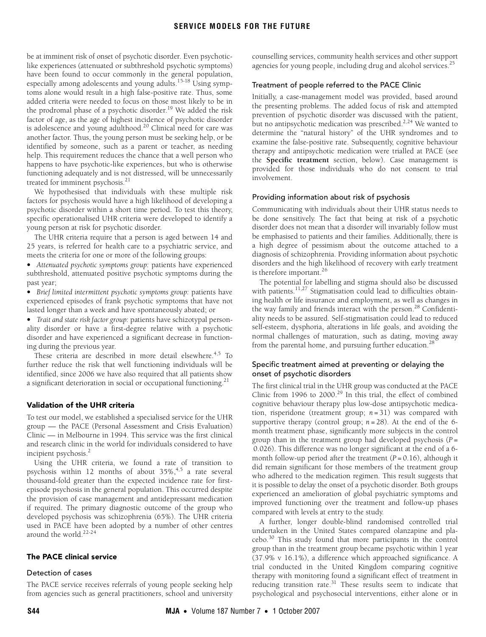be at imminent risk of onset of psychotic disorder. Even psychoticlike experiences (attenuated or subthreshold psychotic symptoms) have been found to occur commonly in the general population, especially among adolescents and young adults.<sup>15[-18](#page-2-12)</sup> Using symptoms alone would result in a high false-positive rate. Thus, some added criteria were needed to focus on those most likely to be in the prodromal phase of a psychotic disorder.<sup>19</sup> We added the risk factor of age, as the age of highest incidence of psychotic disorder is adolescence and young adulthood.<sup>20</sup> Clinical need for care was another factor. Thus, the young person must be seeking help, or be identified by someone, such as a parent or teacher, as needing help. This requirement reduces the chance that a well person who happens to have psychotic-like experiences, but who is otherwise functioning adequately and is not distressed, will be unnecessarily treated for imminent psychosis.<sup>[21](#page-2-15)</sup>

We hypothesised that individuals with these multiple risk factors for psychosis would have a high likelihood of developing a psychotic disorder within a short time period. To test this theory, specific operationalised UHR criteria were developed to identify a young person at risk for psychotic disorder.

The UHR criteria require that a person is aged between 14 and 25 years, is referred for health care to a psychiatric service, and meets the criteria for one or more of the following groups:

• *Attenuated psychotic symptoms group:* patients have experienced subthreshold, attenuated positive psychotic symptoms during the past year;

• *Brief limited intermittent psychotic symptoms group:* patients have experienced episodes of frank psychotic symptoms that have not lasted longer than a week and have spontaneously abated; or

• *Trait and state risk factor group:* patients have schizotypal personality disorder or have a first-degree relative with a psychotic disorder and have experienced a significant decrease in functioning during the previous year.

These criteria are described in more detail elsewhere.<sup>[4](#page-2-3)[,5](#page-2-4)</sup> To further reduce the risk that well functioning individuals will be identified, since 2006 we have also required that all patients show a significant deterioration in social or occupational functioning.<sup>21</sup>

### Validation of the UHR criteria

To test our model, we established a specialised service for the UHR group — the PACE (Personal Assessment and Crisis Evaluation) Clinic — in Melbourne in 1994. This service was the first clinical and research clinic in the world for individuals considered to have incipient psychosis.[2](#page-2-1)

Using the UHR criteria, we found a rate of transition to psychosis within 12 months of about 35%, $4,5$  a rate several thousand-fold greater than the expected incidence rate for firstepisode psychosis in the general population. This occurred despite the provision of case management and antidepressant medication if required. The primary diagnostic outcome of the group who developed psychosis was schizophrenia (65%). The UHR criteria used in PACE have been adopted by a number of other centres around the world.<sup>[22-](#page-2-16)[24](#page-3-1)</sup>

## The PACE clinical service

#### Detection of cases

The PACE service receives referrals of young people seeking help from agencies such as general practitioners, school and university counselling services, community health services and other support agencies for young people, including drug and alcohol services.<sup>[25](#page-3-2)</sup>

## Treatment of people referred to the PACE Clinic

Initially, a case-management model was provided, based around the presenting problems. The added focus of risk and attempted prevention of psychotic disorder was discussed with the patient, but no antipsychotic medication was prescribed.<sup>[2](#page-2-1),24</sup> We wanted to determine the "natural history" of the UHR syndromes and to examine the false-positive rate. Subsequently, cognitive behaviour therapy and antipsychotic medication were trialled at PACE (see the **Specific treatment** section, below). Case management is provided for those individuals who do not consent to trial involvement.

#### Providing information about risk of psychosis

Communicating with individuals about their UHR status needs to be done sensitively. The fact that being at risk of a psychotic disorder does not mean that a disorder will invariably follow must be emphasised to patients and their families. Additionally, there is a high degree of pessimism about the outcome attached to a diagnosis of schizophrenia. Providing information about psychotic disorders and the high likelihood of recovery with early treatment is therefore important.<sup>26</sup>

The potential for labelling and stigma should also be discussed with patients.<sup>11[,27](#page-3-4)</sup> Stigmatisation could lead to difficulties obtaining health or life insurance and employment, as well as changes in the way family and friends interact with the person.<sup>28</sup> Confidentiality needs to be assured. Self-stigmatisation could lead to reduced self-esteem, dysphoria, alterations in life goals, and avoiding the normal challenges of maturation, such as dating, moving away from the parental home, and pursuing further education.<sup>[28](#page-3-5)</sup>

# Specific treatment aimed at preventing or delaying the onset of psychotic disorders

The first clinical trial in the UHR group was conducted at the PACE Clinic from 1996 to 2000.<sup>29</sup> In this trial, the effect of combined cognitive behaviour therapy plus low-dose antipsychotic medication, risperidone (treatment group; *n* = 31) was compared with supportive therapy (control group;  $n = 28$ ). At the end of the 6month treatment phase, significantly more subjects in the control group than in the treatment group had developed psychosis (*P* = 0.026). This difference was no longer significant at the end of a 6 month follow-up period after the treatment (*P* = 0.16), although it did remain significant for those members of the treatment group who adhered to the medication regimen. This result suggests that it is possible to delay the onset of a psychotic disorder. Both groups experienced an amelioration of global psychiatric symptoms and improved functioning over the treatment and follow-up phases compared with levels at entry to the study.

A further, longer double-blind randomised controlled trial undertaken in the United States compared olanzapine and placebo.[30](#page-3-7) This study found that more participants in the control group than in the treatment group became psychotic within 1 year (37.9% v 16.1%), a difference which approached significance. A trial conducted in the United Kingdom comparing cognitive therapy with monitoring found a significant effect of treatment in reducing transition rate. $31$  These results seem to indicate that psychological and psychosocial interventions, either alone or in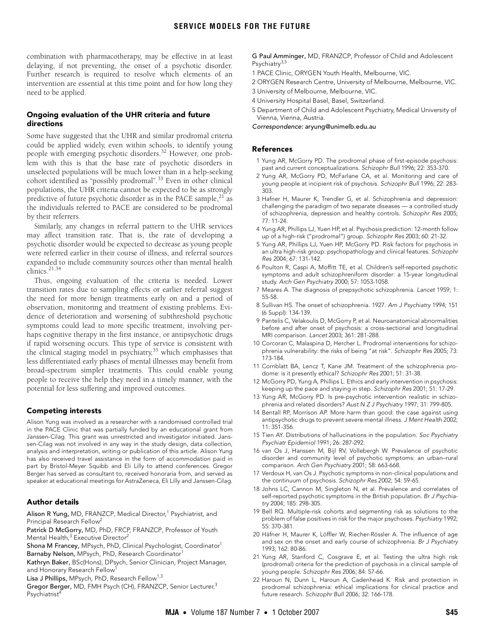combination with pharmacotherapy, may be effective in at least delaying, if not preventing, the onset of a psychotic disorder. Further research is required to resolve which elements of an intervention are essential at this time point and for how long they need to be applied.

### Ongoing evaluation of the UHR criteria and future directions

Some have suggested that the UHR and similar prodromal criteria could be applied widely, even within schools, to identify young people with emerging psychotic disorders.<sup>32</sup> However, one problem with this is that the base rate of psychotic disorders in unselected populations will be much lower than in a help-seeking cohort identified as "possibly prodromal".<sup>33</sup> Even in other clinical populations, the UHR criteria cannot be expected to be as strongly predictive of future psychotic disorder as in the PACE sample,<sup>[21](#page-2-15)</sup> as the individuals referred to PACE are considered to be prodromal by their referrers.

Similarly, any changes in referral pattern to the UHR services may affect transition rate. That is, the rate of developing a psychotic disorder would be expected to decrease as young people were referred earlier in their course of illness, and referral sources expanded to include community sources other than mental health clinics.<sup>[21](#page-2-15)[,34](#page-3-11)</sup>

Thus, ongoing evaluation of the criteria is needed. Lower transition rates due to sampling effects or earlier referral suggest the need for more benign treatments early on and a period of observation, monitoring and treatment of existing problems. Evidence of deterioration and worsening of subthreshold psychotic symptoms could lead to more specific treatment, involving perhaps cognitive therapy in the first instance, or antipsychotic drugs if rapid worsening occurs. This type of service is consistent with the clinical staging model in psychiatry, $35$  which emphasises that less differentiated early phases of mental illnesses may benefit from broad-spectrum simpler treatments. This could enable young people to receive the help they need in a timely manner, with the potential for less suffering and improved outcomes.

### Competing interests

Alison Yung was involved as a researcher with a randomised controlled trial in the PACE Clinic that was partially funded by an educational grant from Janssen-Cilag. This grant was unrestricted and investigator initiated. Janssen-Cilag was not involved in any way in the study design, data collection, analysis and interpretation, writing or publication of this article. Alison Yung has also received travel assistance in the form of accommodation paid in part by Bristol-Meyer Squibb and Eli Lilly to attend conferences. Gregor Berger has served as consultant to, received honoraria from, and served as speaker at educational meetings for AstraZeneca, Eli Lilly and Janssen-Cilag.

## Author details

Alison R Yung, MD, FRANZCP, Medical Director,<sup>1</sup> Psychiatrist, and Principal Research Fellow<sup>2</sup>

Patrick D McGorry, MD, PhD, FRCP, FRANZCP, Professor of Youth Mental Health,<sup>3</sup> Executive Director<sup>2</sup>

Shona M Francey, MPsych, PhD, Clinical Psychologist, Coordinator<sup>1</sup> Barnaby Nelson, MPsych, PhD, Research Coordinator<sup>1</sup>

Kathryn Baker, BSc(Hons), DPsych, Senior Clinician, Project Manager, and Honorary Research Fellow<sup>1</sup>

Lisa J Phillips, MPsych, PhD, Research Fellow<sup>1,3</sup>

Gregor Berger, MD, FMH Psych (CH), FRANZCP, Senior Lecturer,<sup>3</sup> Psychiatrist<sup>4</sup>

- G Paul Amminger, MD, FRANZCP, Professor of Child and Adolescent Psychiatry<sup>3,5</sup>
- 1 PACE Clinic, ORYGEN Youth Health, Melbourne, VIC.
- 2 ORYGEN Research Centre, University of Melbourne, Melbourne, VIC.
- 3 University of Melbourne, Melbourne, VIC.
- 4 University Hospital Basel, Basel, Switzerland.
- 5 Department of Child and Adolescent Psychiatry, Medical University of Vienna, Vienna, Austria.

Correspondence: aryung@unimelb.edu.au

#### References

- <span id="page-2-0"></span>1 Yung AR, McGorry PD. The prodromal phase of first-episode psychosis: past and current conceptualizations. Schizophr Bull 1996; 22: 353-370.
- <span id="page-2-1"></span>2 Yung AR, McGorry PD, McFarlane CA, et al. Monitoring and care of young people at incipient risk of psychosis. Schizophr Bull 1996; 22: 283- 303.
- <span id="page-2-2"></span>3 Hafner H, Maurer K, Trendler G, et al. Schizophrenia and depression: challenging the paradigm of two separate diseases — a controlled study of schizophrenia, depression and healthy controls. Schizophr Res 2005; 77: 11-24.
- <span id="page-2-3"></span>4 Yung AR, Phillips LJ, Yuen HP, et al. Psychosis prediction: 12-month follow up of a high-risk ("prodromal") group. Schizophr Res 2003; 60: 21-32.
- <span id="page-2-4"></span>5 Yung AR, Phillips LJ, Yuen HP, McGorry PD. Risk factors for psychosis in an ultra high-risk group: psychopathology and clinical features. Schizophr Res 2004; 67: 131-142.
- <span id="page-2-5"></span>6 Poulton R, Caspi A, Moffitt TE, et al. Children's self-reported psychotic symptoms and adult schizophreniform disorder: a 15-year longitudinal study. Arch Gen Psychiatry 2000; 57: 1053-1058.
- <span id="page-2-6"></span>7 Meares A. The diagnosis of prepsychotic schizophrenia. Lancet 1959; 1: 55-58.
- <span id="page-2-7"></span>8 Sullivan HS. The onset of schizophrenia. 1927. Am J Psychiatry 1994; 151 (6 Suppl): 134-139.
- <span id="page-2-8"></span>9 Pantelis C, Velakoulis D, McGorry P, et al. Neuroanatomical abnormalities before and after onset of psychosis: a cross-sectional and longitudinal MRI comparison. Lancet 2003; 361: 281-288.
- <span id="page-2-9"></span>10 Corcoran C, Malaspina D, Hercher L. Prodromal interventions for schizophrenia vulnerability: the risks of being "at risk". Schizophr Res 2005; 73: 173-184.
- <span id="page-2-17"></span>11 Cornblatt BA, Lencz T, Kane JM. Treatment of the schizophrenia prodome: is it presently ethical? Schizophr Res 2001; 51: 31-38.
- 12 McGorry PD, Yung A, Phillips L. Ethics and early intervention in psychosis: keeping up the pace and staying in step. Schizophr Res 2001; 51: 17-29.
- 13 Yung AR, McGorry PD. Is pre-psychotic intervention realistic in schizophrenia and related disorders? Aust N Z J Psychiatry 1997; 31: 799-805.
- <span id="page-2-10"></span>14 Bentall RP, Morrison AP. More harm than good: the case against using antipsychotic drugs to prevent severe mental illness. J Ment Health 2002; 11: 351-356.
- <span id="page-2-11"></span>15 Tien AY. Distributions of hallucinations in the population. Soc Psychiatry Psychiatr Epidemiol 1991; 26: 287-292.
- 16 van Os J, Hanssen M, Bijl RV, Vollebergh W. Prevalence of psychotic disorder and community level of psychotic symptoms: an urban–rural comparison. Arch Gen Psychiatry 2001; 58: 663-668.
- 17 Verdoux H, van Os J. Psychotic symptoms in non-clinical populations and the continuum of psychosis. Schizophr Res 2002; 54: 59-65.
- <span id="page-2-12"></span>18 Johns LC, Cannon M, Singleton N, et al. Prevalence and correlates of self-reported psychotic symptoms in the British population. Br J Psychiatry 2004; 185: 298-305.
- <span id="page-2-13"></span>19 Bell RQ. Multiple-risk cohorts and segmenting risk as solutions to the problem of false positives in risk for the major psychoses. Psychiatry 1992; 55: 370-381.
- <span id="page-2-14"></span>20 Häfner H, Maurer K, Löffler W, Riecher-Rössler A. The influence of age and sex on the onset and early course of schizophrenia. Br J Psychiatry 1993; 162: 80-86.
- <span id="page-2-15"></span>21 Yung AR, Stanford C, Cosgrave E, et al. Testing the ultra high risk (prodromal) criteria for the prediction of psychosis in a clinical sample of young people. Schizophr Res 2006; 84: 57-66.
- <span id="page-2-16"></span>22 Haroun N, Dunn L, Haroun A, Cadenhead K. Risk and protection in prodromal schizophrenia: ethical implications for clinical practice and future research. Schizophr Bull 2006; 32: 166-178.